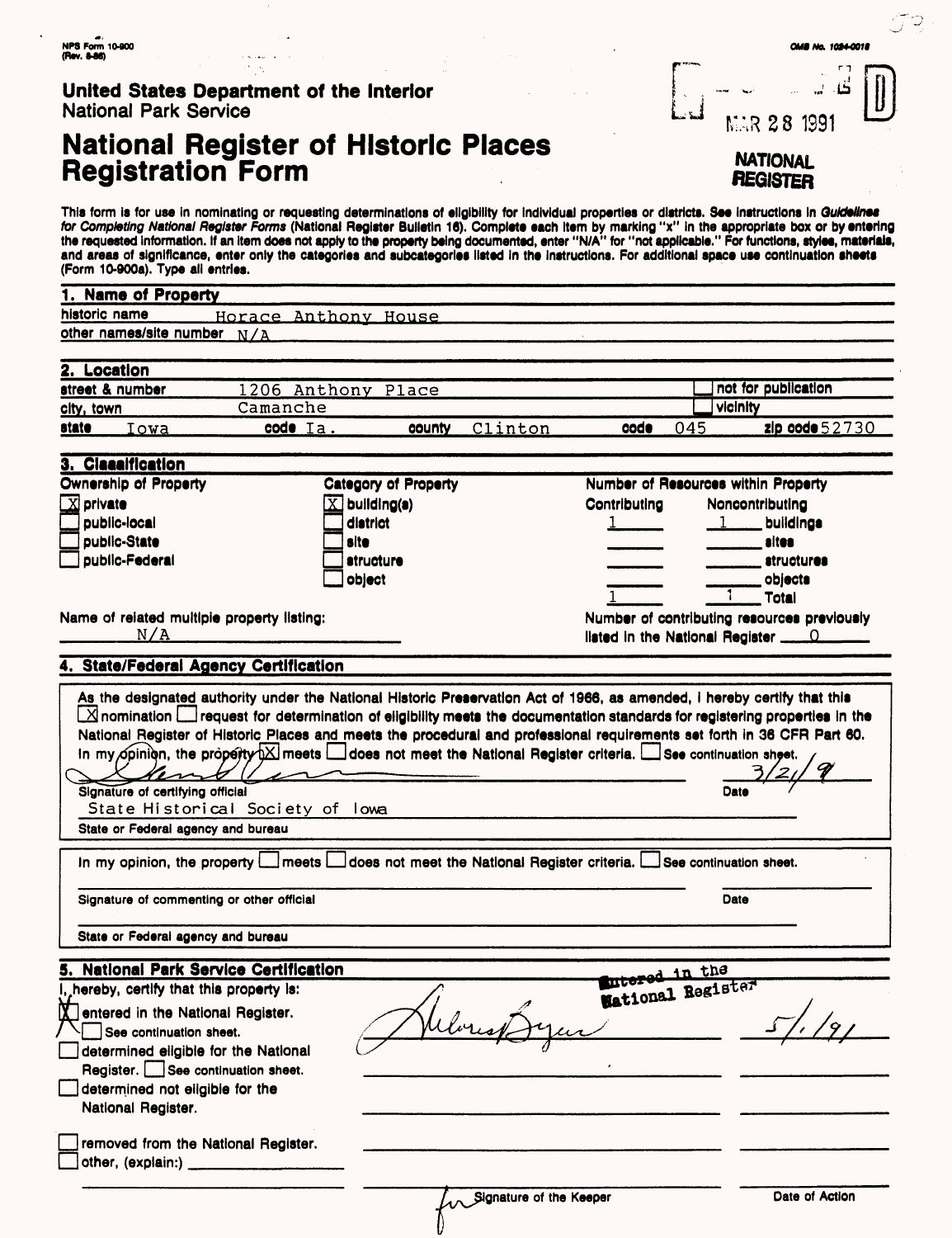| United States Department of the Interior |  |
|------------------------------------------|--|
| <b>National Park Service</b>             |  |

**K** entered in the National Register.  $\Box$  See continuation sheet.

National Register.

 $]$  other, (explain:)  $\overline{\phantom{a}}$ 

determined eligible for the National Register. See continuation sheet. determined not eligible for the

removed from the National Register.

## **National Register of Historic Places Registration Form**

 $\mathbf{\underline{\mathsf{I}}}\mathbf{\underline{\mathsf{I}}}$ نن MAR 28 1991 **NATIONAL flEGJSTER**

This form is for use in nominating or requesting determinations of eligibility for individual properties or districts. See instructions in Guidelines for Completing National Register Forms (National Register Bulletin 16). Complete each Item by marking "x" In the appropriate box or by entering the requested information. If an Item does not apply to the property being documented, enter "N/A" for "not applicable." For functions, styles, materials, and areas of significance, enter only the categories and subcategorles listed In the Instructions. For additional space use continuation sheets (Form 10-900a). Type all entries.

| 1. Name of Property                   |                                            |                             |                                                                                                                                                                                                                                                               |                                                                                                                                                                                                                                                                           |
|---------------------------------------|--------------------------------------------|-----------------------------|---------------------------------------------------------------------------------------------------------------------------------------------------------------------------------------------------------------------------------------------------------------|---------------------------------------------------------------------------------------------------------------------------------------------------------------------------------------------------------------------------------------------------------------------------|
|                                       |                                            |                             |                                                                                                                                                                                                                                                               |                                                                                                                                                                                                                                                                           |
| historic name                         |                                            | Horace Anthony House        |                                                                                                                                                                                                                                                               |                                                                                                                                                                                                                                                                           |
| other names/site number N/A           |                                            |                             |                                                                                                                                                                                                                                                               |                                                                                                                                                                                                                                                                           |
|                                       |                                            |                             |                                                                                                                                                                                                                                                               |                                                                                                                                                                                                                                                                           |
| 2. Location                           |                                            |                             |                                                                                                                                                                                                                                                               |                                                                                                                                                                                                                                                                           |
| street & number                       |                                            | 1206 Anthony Place          |                                                                                                                                                                                                                                                               | not for publication                                                                                                                                                                                                                                                       |
| <u>city, town</u>                     | Camanche                                   |                             |                                                                                                                                                                                                                                                               | vicinity                                                                                                                                                                                                                                                                  |
| state<br>Iowa                         | $code$ Ia.                                 | county                      | Clinton<br>code                                                                                                                                                                                                                                               | 045<br>zip code $52730$                                                                                                                                                                                                                                                   |
| 3. Classification                     |                                            |                             |                                                                                                                                                                                                                                                               |                                                                                                                                                                                                                                                                           |
| <b>Ownership of Property</b>          |                                            | <b>Category of Property</b> |                                                                                                                                                                                                                                                               | Number of Resources within Property                                                                                                                                                                                                                                       |
| $\boxed{\text{X}}$ private            |                                            | $\overline{X}$ building(s)  | Contributing                                                                                                                                                                                                                                                  | Noncontributing                                                                                                                                                                                                                                                           |
| public-local                          |                                            | district                    |                                                                                                                                                                                                                                                               | buildings                                                                                                                                                                                                                                                                 |
| public-State                          |                                            | site                        |                                                                                                                                                                                                                                                               | sites                                                                                                                                                                                                                                                                     |
| public-Federal                        |                                            | atructure                   |                                                                                                                                                                                                                                                               | <i>atructures</i>                                                                                                                                                                                                                                                         |
|                                       |                                            | object                      |                                                                                                                                                                                                                                                               | objects                                                                                                                                                                                                                                                                   |
|                                       |                                            |                             |                                                                                                                                                                                                                                                               | <b>Total</b>                                                                                                                                                                                                                                                              |
|                                       | Name of related multiple property listing: |                             |                                                                                                                                                                                                                                                               | Number of contributing resources previously                                                                                                                                                                                                                               |
| N/A                                   |                                            |                             |                                                                                                                                                                                                                                                               |                                                                                                                                                                                                                                                                           |
|                                       |                                            |                             |                                                                                                                                                                                                                                                               |                                                                                                                                                                                                                                                                           |
|                                       | 4. State/Federal Agency Certification      |                             |                                                                                                                                                                                                                                                               |                                                                                                                                                                                                                                                                           |
|                                       |                                            |                             |                                                                                                                                                                                                                                                               |                                                                                                                                                                                                                                                                           |
| Signature of certifying official      |                                            |                             | As the designated authority under the National Historic Preservation Act of 1966, as amended, I hereby certify that this<br>In my opinion, the property $\boxtimes$ meets $\Box$ does not meet the National Register criteria. $\Box$ See continuation sheet. | $\Box$ nomination $\Box$ request for determination of eligibility meets the documentation standards for registering properties in the<br>National Register of Historic Places and meets the procedural and professional requirements set forth in 36 CFR Part 60.<br>Date |
|                                       | State Historical Society of lowa           |                             |                                                                                                                                                                                                                                                               |                                                                                                                                                                                                                                                                           |
| State or Federal agency and bureau    |                                            |                             |                                                                                                                                                                                                                                                               |                                                                                                                                                                                                                                                                           |
| In my opinion, the property $\lfloor$ | meets L                                    |                             | does not meet the National Register criteria. L                                                                                                                                                                                                               | See continuation sheet.                                                                                                                                                                                                                                                   |
|                                       | Signature of commenting or other official  |                             |                                                                                                                                                                                                                                                               | Date                                                                                                                                                                                                                                                                      |
|                                       | State or Federal agency and bureau         |                             |                                                                                                                                                                                                                                                               |                                                                                                                                                                                                                                                                           |
|                                       | 5. National Park Service Certification     |                             |                                                                                                                                                                                                                                                               | intered in the<br>Mational Register                                                                                                                                                                                                                                       |

Ubre

 $\frac{1}{9}$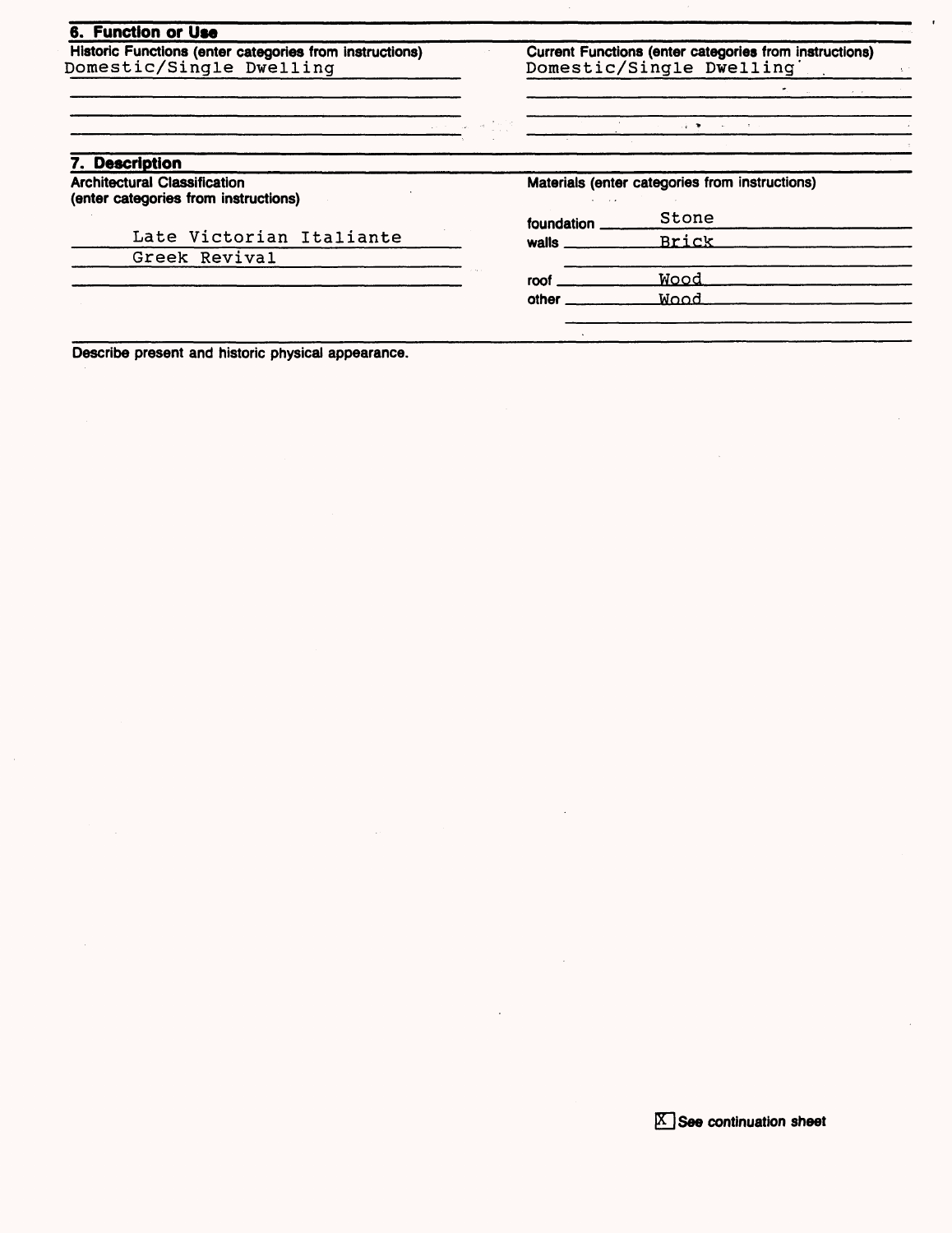#### **6. Function or Use**

Historic Functions (enter categories from instructions) Domestic/Single Dwelling

Current Functions (enter categories from instructions) Domestic/Single Dwelling'

 $\frac{1}{2}$ 

 $\bar{\Sigma}$ 

| 7. Description                                                              |                         |                                                |
|-----------------------------------------------------------------------------|-------------------------|------------------------------------------------|
| <b>Architectural Classification</b><br>(enter categories from instructions) | $\cdot$ $\cdot$ $\cdot$ | Materials (enter categories from instructions) |
|                                                                             | foundation              | Stone                                          |
| Late Victorian Italiante                                                    | walls $\_\_\_\_\_\$     | Brick                                          |
| Greek Revival                                                               |                         |                                                |
|                                                                             | roof                    | <u>Wood</u>                                    |
|                                                                             | other                   | Wood                                           |

Describe present and historic physical appearance.

 $K$  See continuation sheet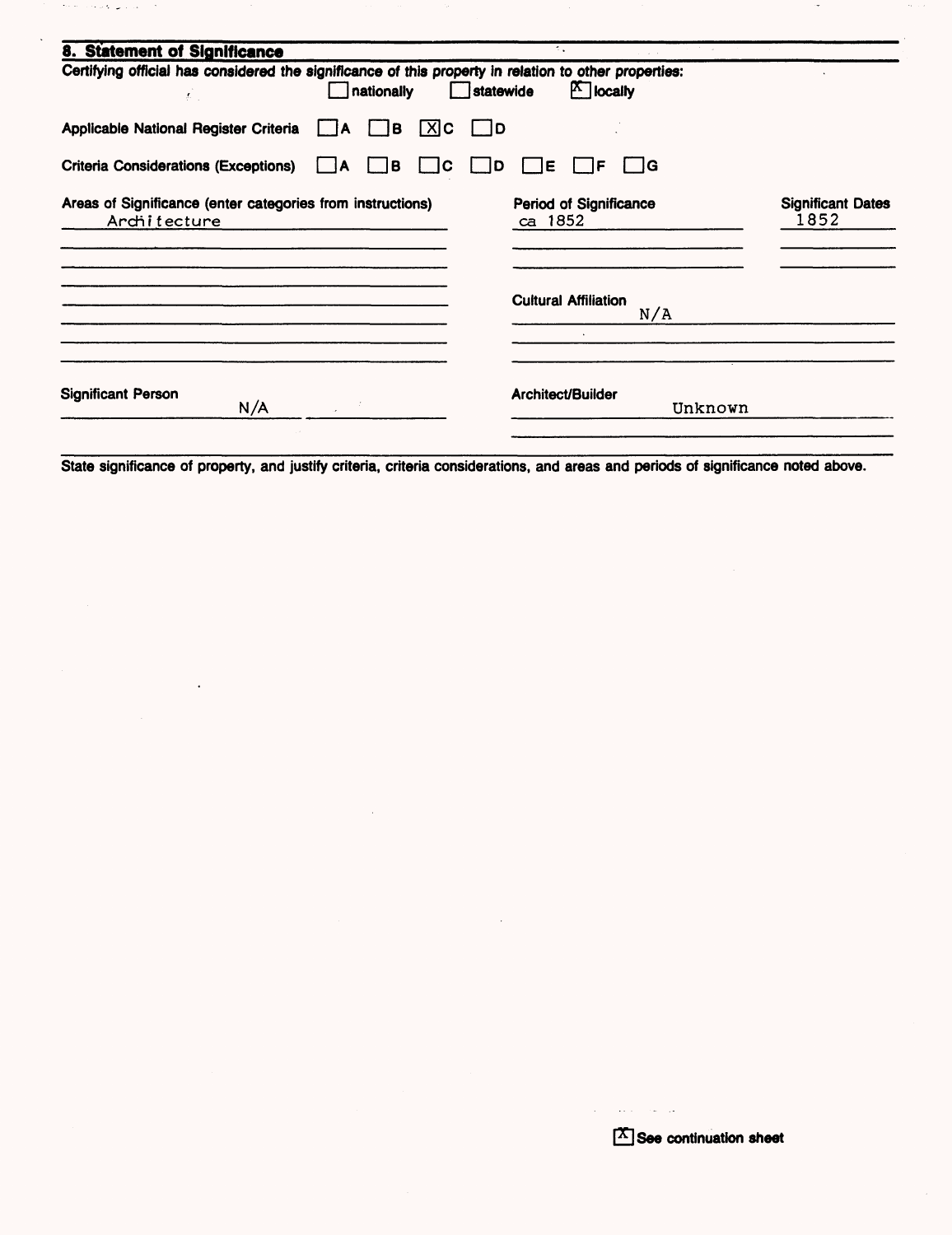| 8. Statement of Significance                                                                          |                      |           |                                          |         |                                  |
|-------------------------------------------------------------------------------------------------------|----------------------|-----------|------------------------------------------|---------|----------------------------------|
| Certifying official has considered the significance of this property in relation to other properties: | nationally           | statewide | $\mathbb{F}$ locally                     |         |                                  |
| Applicable National Register Criteria                                                                 | $[X]$ C<br>∫B.<br>IA | D         |                                          |         |                                  |
| <b>Criteria Considerations (Exceptions)</b>                                                           | jв.<br>IC.<br>I IA   | ID        | E <br>IF                                 | IG      |                                  |
| Areas of Significance (enter categories from instructions)<br>Architecture                            |                      |           | <b>Period of Significance</b><br>ca 1852 |         | <b>Significant Dates</b><br>1852 |
|                                                                                                       |                      |           | <b>Cultural Affiliation</b>              | N/A     |                                  |
| <b>Significant Person</b><br>N/A                                                                      |                      |           | Architect/Builder                        | Unknown |                                  |

where  $\alpha$  is a  $\mathcal{O}(\log n)$ 

 $\sim$ 

 $\hat{\mathbf{r}}$ 

State significance of property, and justify criteria, criteria considerations, and areas and periods of significance noted above.

القوادمات المتفعل المتفا

÷,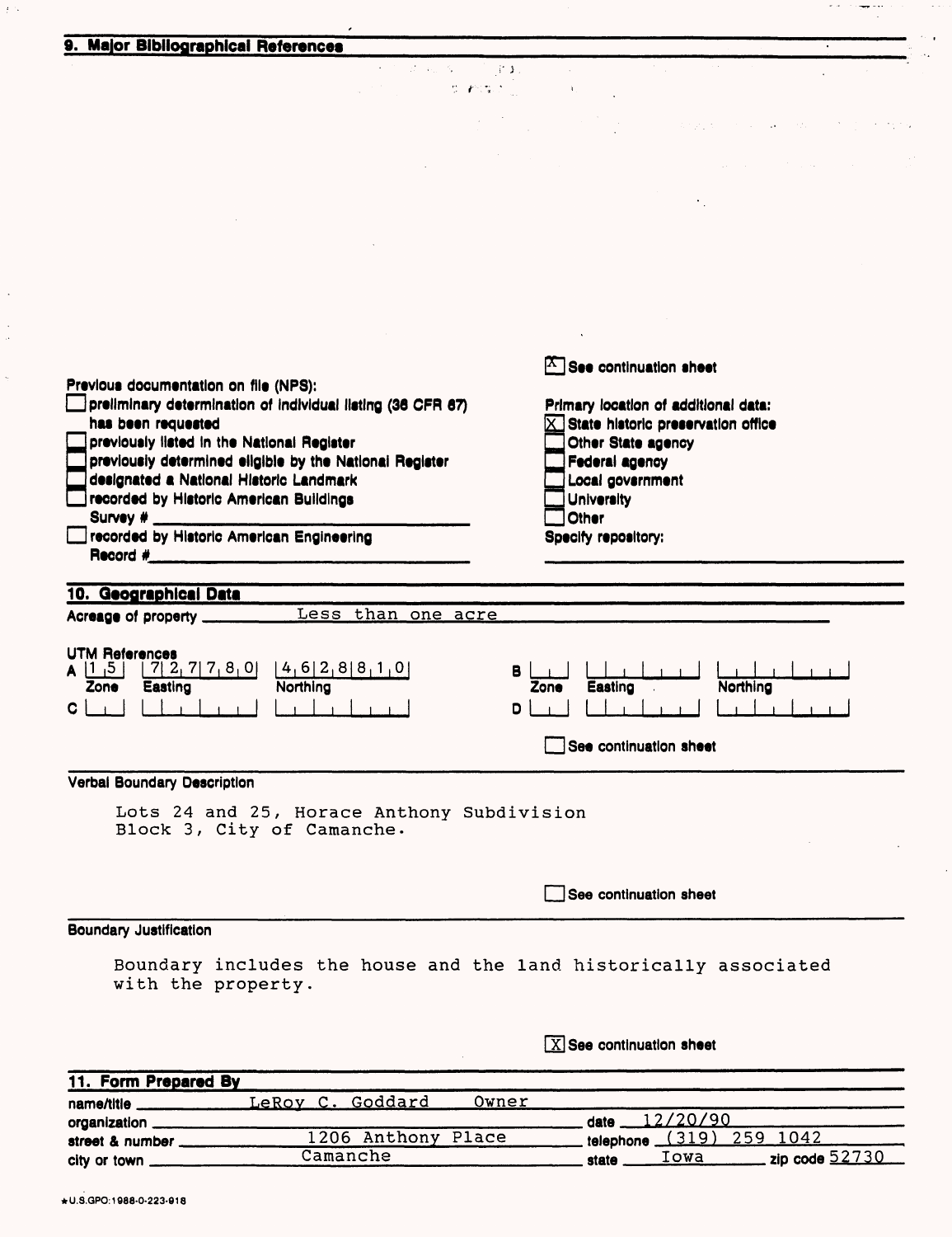| 9. Major Bibliographical References                                                                                                                                                                                                                                                                                       |                                                                                                                                                                             |
|---------------------------------------------------------------------------------------------------------------------------------------------------------------------------------------------------------------------------------------------------------------------------------------------------------------------------|-----------------------------------------------------------------------------------------------------------------------------------------------------------------------------|
| 计可变 人名拉斯<br>$\mathbb{S}\left(P(\mathcal{R},\mathcal{E}_{\text{out}})\right)=0.$                                                                                                                                                                                                                                           |                                                                                                                                                                             |
|                                                                                                                                                                                                                                                                                                                           | state of the company of the company                                                                                                                                         |
|                                                                                                                                                                                                                                                                                                                           |                                                                                                                                                                             |
|                                                                                                                                                                                                                                                                                                                           |                                                                                                                                                                             |
|                                                                                                                                                                                                                                                                                                                           |                                                                                                                                                                             |
|                                                                                                                                                                                                                                                                                                                           |                                                                                                                                                                             |
|                                                                                                                                                                                                                                                                                                                           |                                                                                                                                                                             |
|                                                                                                                                                                                                                                                                                                                           | $\boxed{\text{X}}$ See continuation sheet                                                                                                                                   |
| Previous documentation on file (NPS):<br>preliminary determination of individual listing (36 CFR 67)<br>has been requested<br>previously listed in the National Register<br>previously determined eligible by the National Register<br>designated a National Historic Landmark<br>recorded by Historic American Buildings | Primary location of additional data:<br>$\times$ State historic preservation office<br>Other State agency<br><b>Federal agency</b><br>Local government<br><b>University</b> |
| Survey # ____________<br>recorded by Historic American Engineering                                                                                                                                                                                                                                                        | <b>Other</b><br>Specify repository:                                                                                                                                         |
| Less than one acre<br>Acreage of property _____<br><b>UTM References</b><br>$[4, 6]$ $2, 8$ $[8, 1, 0]$<br> 7 2 7 7 8 0 <br> 1, 5 <br>Easting<br><b>Northing</b><br><b>Zone</b><br>C.                                                                                                                                     | в<br>Easting<br>Northing<br><b>Zone</b><br>$\mathbf{r}$ and $\mathbf{r}$<br>D<br>See continuation sheet                                                                     |
| Verbal Boundary Description                                                                                                                                                                                                                                                                                               |                                                                                                                                                                             |
| Lots 24 and 25, Horace Anthony Subdivision<br>Block 3, City of Camanche.                                                                                                                                                                                                                                                  |                                                                                                                                                                             |
|                                                                                                                                                                                                                                                                                                                           | See continuation sheet                                                                                                                                                      |
|                                                                                                                                                                                                                                                                                                                           |                                                                                                                                                                             |
|                                                                                                                                                                                                                                                                                                                           |                                                                                                                                                                             |
| Boundary includes the house and the land historically associated<br>with the property.                                                                                                                                                                                                                                    |                                                                                                                                                                             |
| <b>Boundary Justification</b>                                                                                                                                                                                                                                                                                             | $\boxed{\text{X}}$ See continuation sheet                                                                                                                                   |
| 11. Form Prepared By<br>name/title _________________LeRoy C. Goddard<br><u>Owner</u>                                                                                                                                                                                                                                      |                                                                                                                                                                             |

| <b>UI YEI IIZELIUI I</b> |                    |       | $\frac{1}{2}$ |                          |  |
|--------------------------|--------------------|-------|---------------|--------------------------|--|
| street & number          | 1206 Anthony Place |       |               | telephone (319) 259 1042 |  |
| city or town             | Camanche           | state | Iowa          |                          |  |
|                          |                    |       |               |                          |  |

 $f(\mathcal{G})$ 

 $\ddot{\phantom{a}}$ 

 $\frac{1}{2}$ 

 $\frac{1}{2}$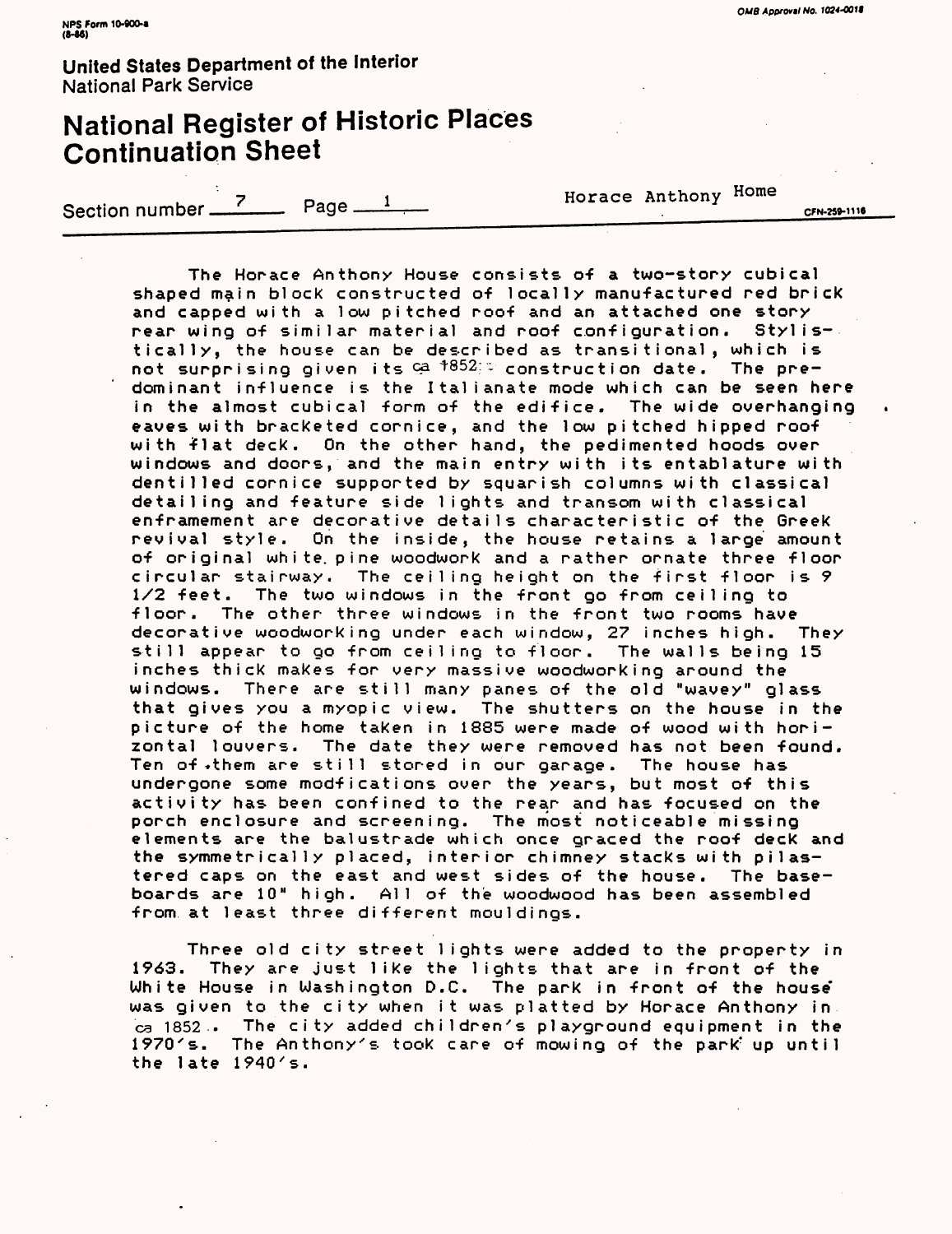# National Register of Historic Places Continuation Sheet

Section number  $\frac{7}{2}$  Page  $\frac{1}{2}$  Horace Anthony Home

CFN-259-1116

The Horace Anthony House consists of a two-story cubical shaped main block constructed of locally manufactured red brick and capped with a low pitched roof and an attached one story rear wing of similar material and roof configuration. Stylistically, the house can be described as transitional, which is not surprising given its  $G^a$   $^{+852;}$  construction date. The predominant influence is the Italianate mode which can be seen here in the almost cubical form of the edifice. The wide overhanging eaves with bracketed cornice, and the low pitched hipped roof with flat deck. On the other hand, the pedimented hoods over windows and doors, and the main entry with its entablature with dentil led cornice supported by squarish columns with classical detailing and feature side lights and transom with classical enframement are decorative details characteristic of the Greek revival style. On the inside, the house retains a large amount of original white, pine woodwork and a rather ornate three floor circular stairway. The ceiling height on the first floor is 9 1/2 feet. The two windows in the front go from ceiling to floor. The other three windows in the front two rooms have decorative woodworking under each window, 27 inches high. They still appear to go from ceiling to floor. The walls being 15 inches thick makes for very massive woodworking around the windows. There are still many panes of the old "wavey" glass that gives you a myopic view. The shutters on the house in the picture of the home taken in 1885 were made of wood with horizontal louvers. The date they were removed has not been found. Ten of»them are still stored in our garage. The house has undergone some modfications over the years, but most of this activity has been confined to the rear and has focused on the porch enclosure and screening. The most noticeable missing elements are the balustrade which once graced the roof deck and the symmetrically placed, interior chimney stacks with pi1astered caps on the east and west sides of the house. The baseboards are 10" high. All of the woodwood has been assembled from at least three different mouldings.

Three old city street lights were added to the property in 1963. They are just like the lights that are in front of the White House in Washington D.C. The park in front of the house was given to the city when it was platted by Horace Anthony in ca 1852 . The city added children's playground equipment in the 1970's. The Anthony's took care of mowing of the park up until the late 1940's.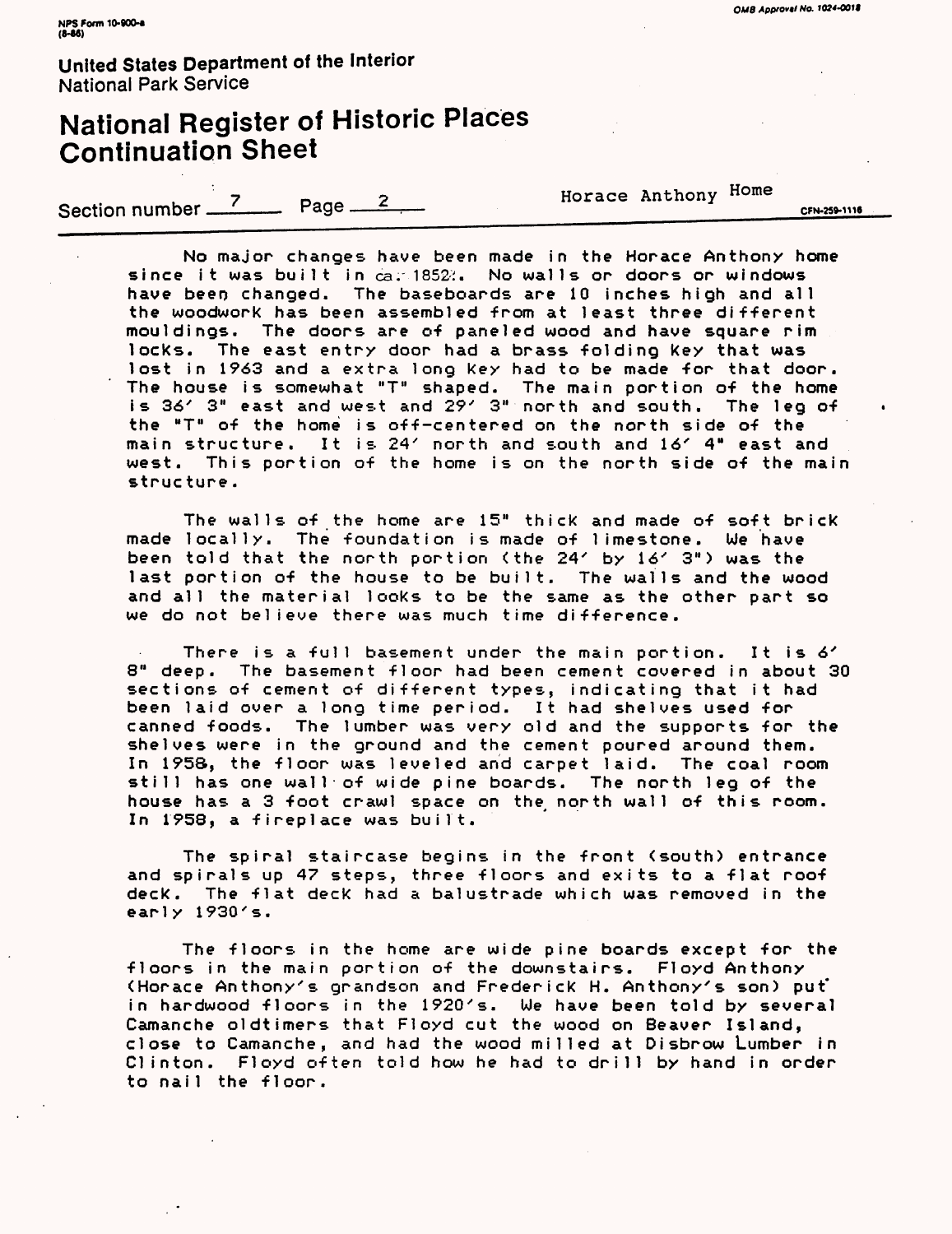# National Register of Historic Places Continuation Sheet

Section number <sup>7</sup> Page 2 **1 Example Horace Anthony Home** cruise out

 $\bullet$ 

No major changes have been made in the Horace Anthony home since it was built in ca. 1852. No walls or doors or windows have been changed. The baseboards are 10 inches high and all the woodwork has been assembled from at least three different mouldings. The doors are of paneled wood and have square rim locks. The east entry door had a brass folding key that was lost in 1963 and a extra long key had to be made for that door. The house is somewhat "T" shaped. The main portion of the home is 36' 3" east and west and 29' 3" north and south. The leg of the "T" of the home is off-centered on the north side of the main structure. It is 24' north and south and 16' 4" east and west. This portion of the home is on the north side of the main structure .

The walls of the home are 15" thick and made of soft brick made locally. The foundation is made of limestone. We have been told that the north portion (the 24' by 16' 3") was the last portion of the house to be built. The walls and the wood and all the material looks to be the same as the other part so we do not believe there was much time difference.

There is a full basement under the main portion. It is 6' 8" deep. The basement floor had been cement covered in about 30 sections of cement of different types, indicating that it had been laid over a long time period. It had shelves used for canned foods. The lumber was very old and the supports for the shelves were in the ground and the cement poured around them. In 195S, the floor was leveled and carpet laid. The coal room still has one wall of wide pine boards. The north leg of the house has a 3 foot crawl space on the north wall of this room. In 1958, a fireplace was built.

The spiral staircase begins in the front (south) entrance and spirals up 47 steps, three floors and exits to a flat roof deck. The flat deck had a balustrade which was removed in the early 1930's.

The floors in the home are wide pine boards except for the floors in the main portion of the downstairs. Floyd Anthony (Horace Anthony's grandson and Frederick H. Anthony's son) put" in hardwood floors in the 1920's. We have been told by several Camanche oldtimers that Floyd cut the wood on Beaver Island, close to Camanche, and had the wood milled at Disbrow Lumber in Clinton. Floyd often told how he had to drill by hand in order to nail the floor.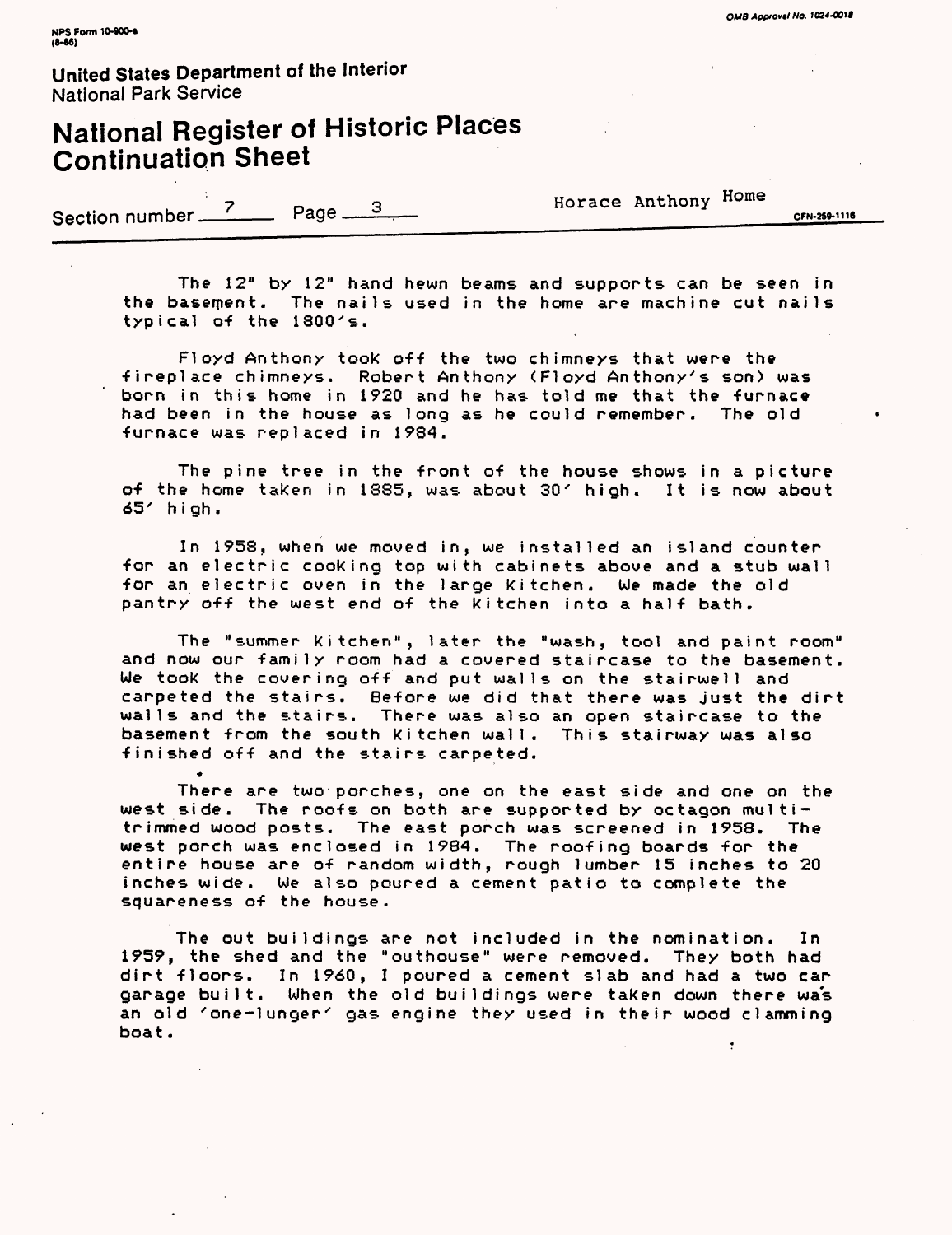# National Register of Historic Places Continuation Sheet

Section number  $\frac{7}{2}$  Page  $\frac{3}{2}$ 

•»

Horace Anthony Home

CFN-259-1116

The 12" by 12" hand hewn beams and supports can be seen in the basement. The nails used in the home are machine cut nails typical of the 1800's.

Fl oyd Anthony took off the two chimneys that were the •fireplace chimneys. Robert Anthony <Floyd Anthony's son) was born in this home in 1920 and he has told me that the furnace had been in the house as long as he could remember. The old •furnace was replaced in 1984.

The pine tree in the front of the house shows in a picture of the home taken in 1885, was about 30' high. It is now about 65' high.

In 1958, when we moved in, we installed an island counter •for an electric cooking top with cabinets above and a stub wall •for an electric oven in the large kitchen. We made the old pantry off the west end of the kitchen into a half bath.

The "summer kitchen", later the "wash, tool and paint room" and now our family room had a covered staircase to the basement. We took the covering off and put walls on the stairwell and carpeted the stairs. Before we did that there was just the dirt walls and the stairs. There was also an open staircase to the basement from the south kitchen wall. This stairway was also finished off and the stairs carpeted.

There are two porches, one on the east side and one on the west side. The roofs on both are supported by octagon multitrimmed wood posts. The east porch was screened in 1958. The west porch was enclosed in 1984. The roofing boards for the entire house are of random width, rough lumber 15 inches to 20 inches wide. We also poured a cement patio to complete the squareness of the house.

The out buildings are not included in the nomination. In 1959, the shed and the "outhouse" were removed. They both had dirt floors. In 1960, I poured a cement slab and had a two car garage built. When the old buildings were taken down there was an old 'one-1unger' gas engine they used in their wood clamming boat.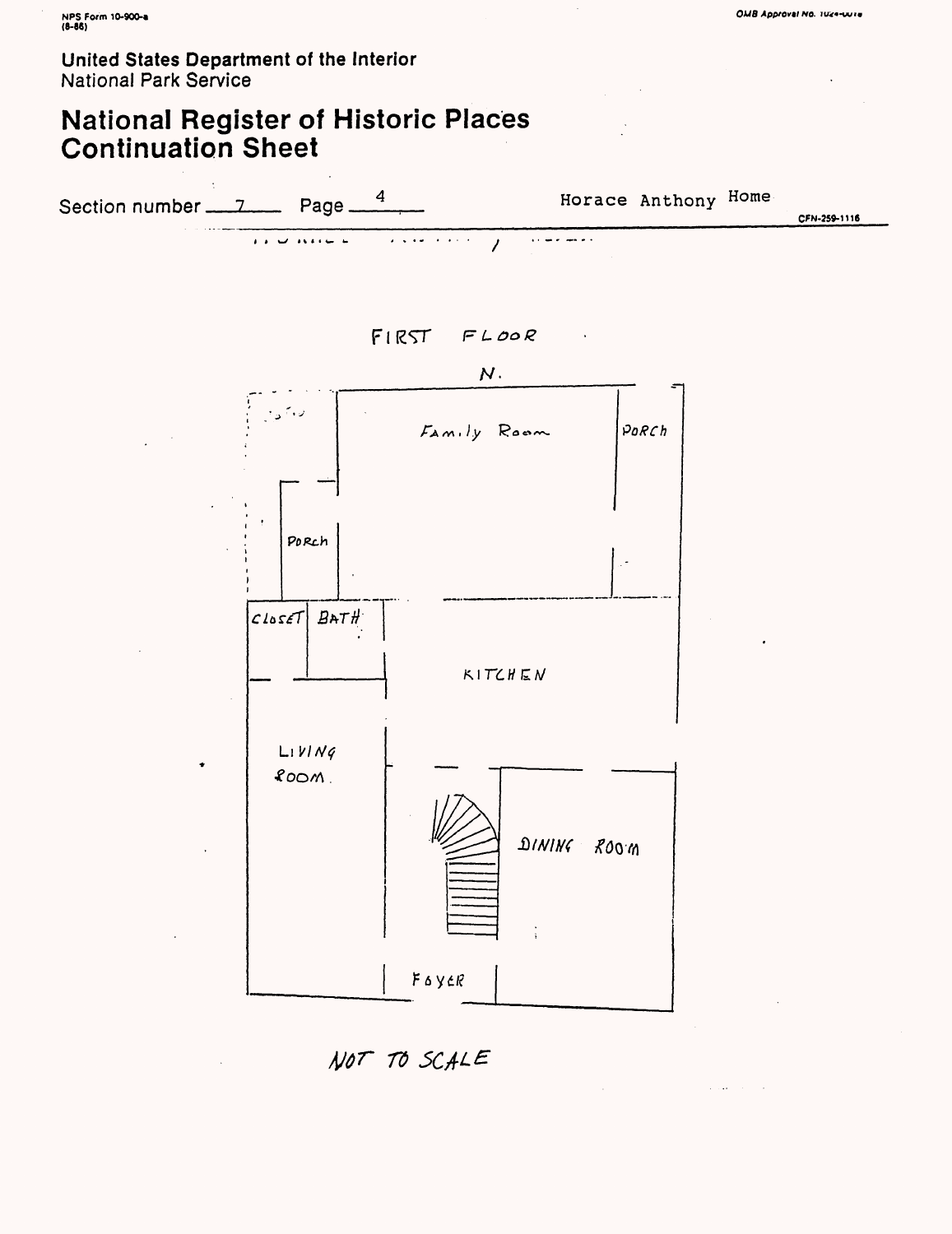## **National Register of Historic Places Continuation Sheet**



 $FIRT$   $FLOOR$ 



NOT TO SCALE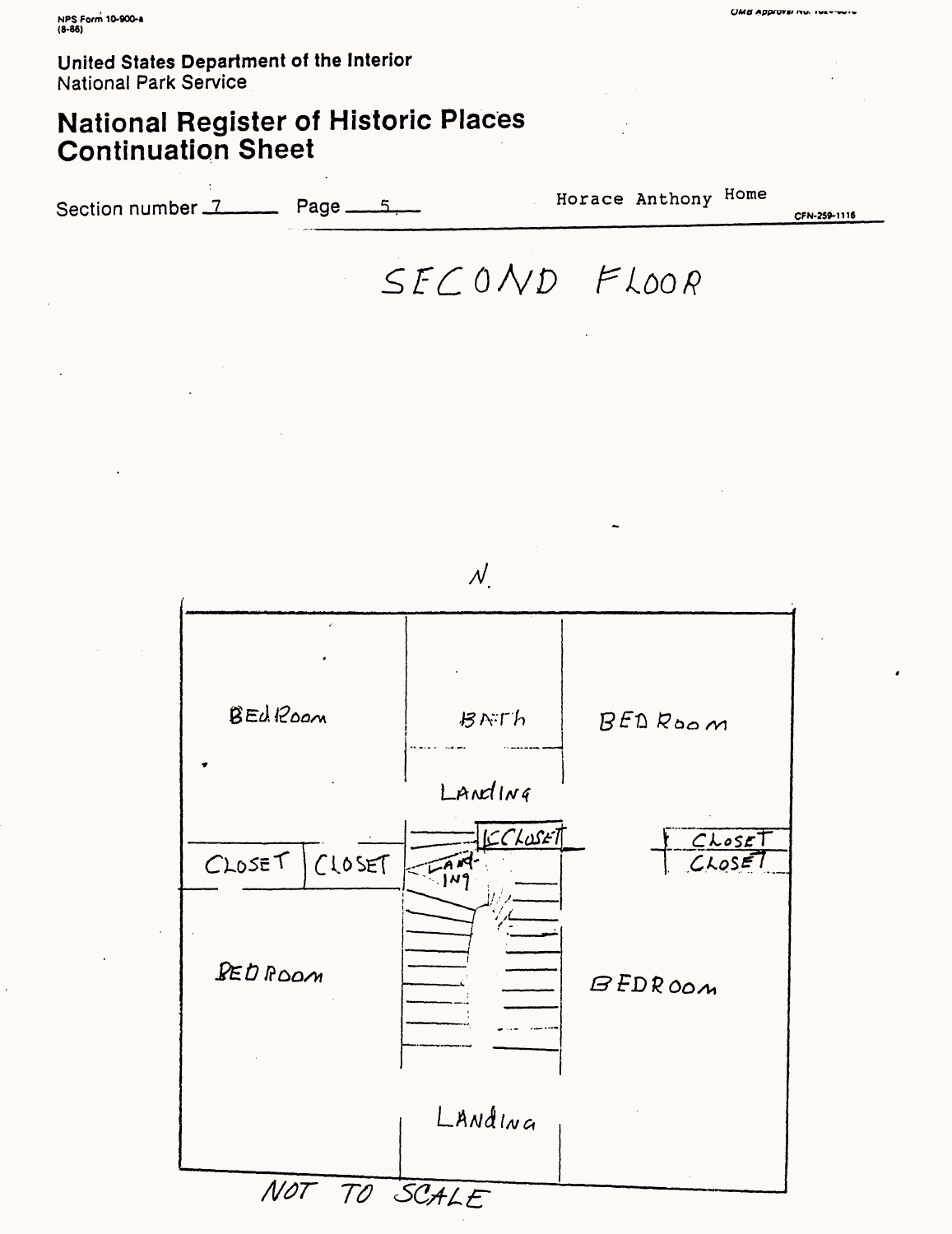# National Register of Historic Places Continuation Sheet

Section number 7 Page 15, 800 Horace Anthony Home

**CFN-259-1U8**

**UMtt Apprormi nv. •»•«-**

 $SFCOND$  FLOOR



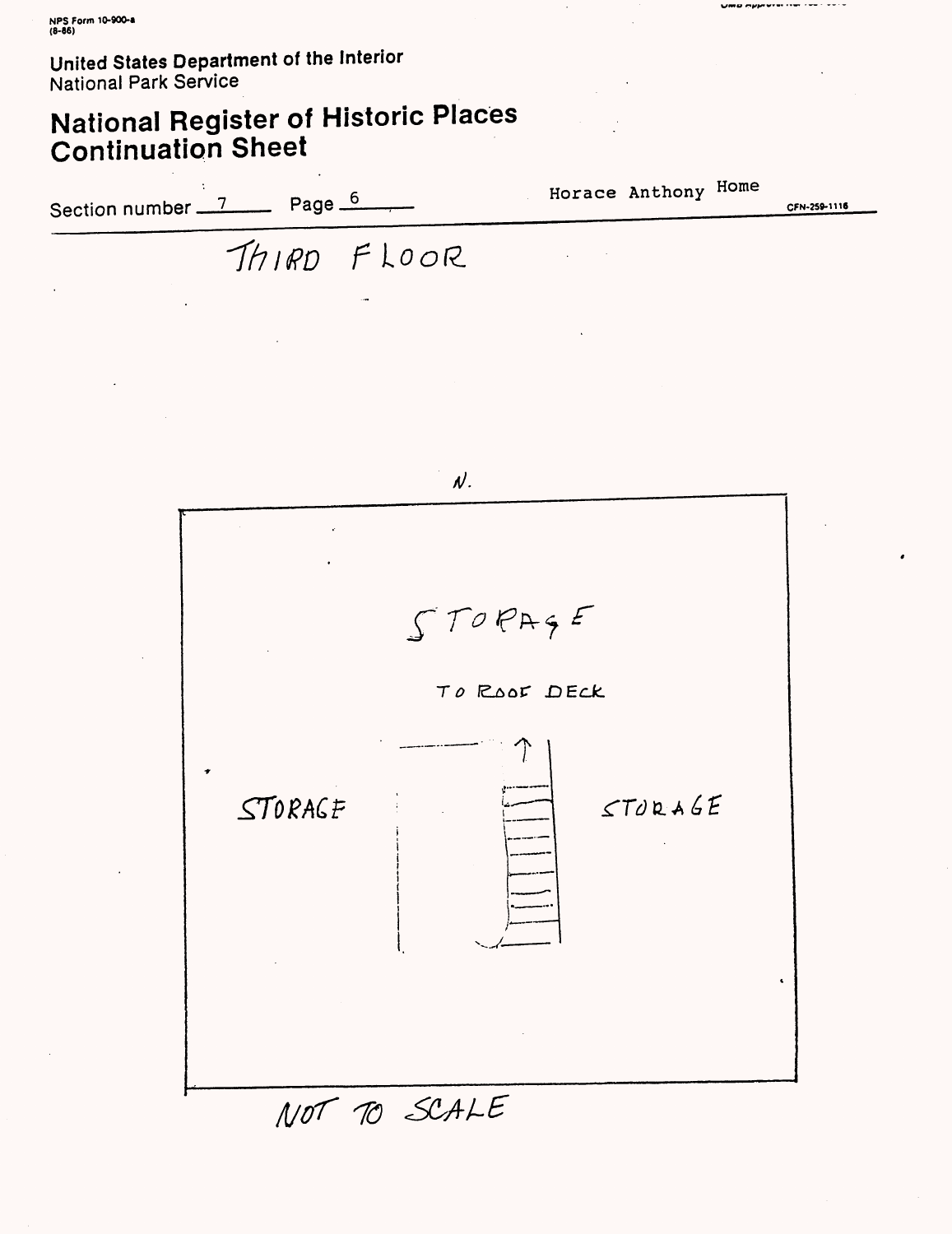# **National Register of Historic Places Continuation Sheet**

Section number  $\frac{7}{2}$  Page  $\frac{6}{2}$  $I$ *(1RD FLOOR* Horace Anthony Home **CPU-259-1116**

OWD OPPINION THE THE

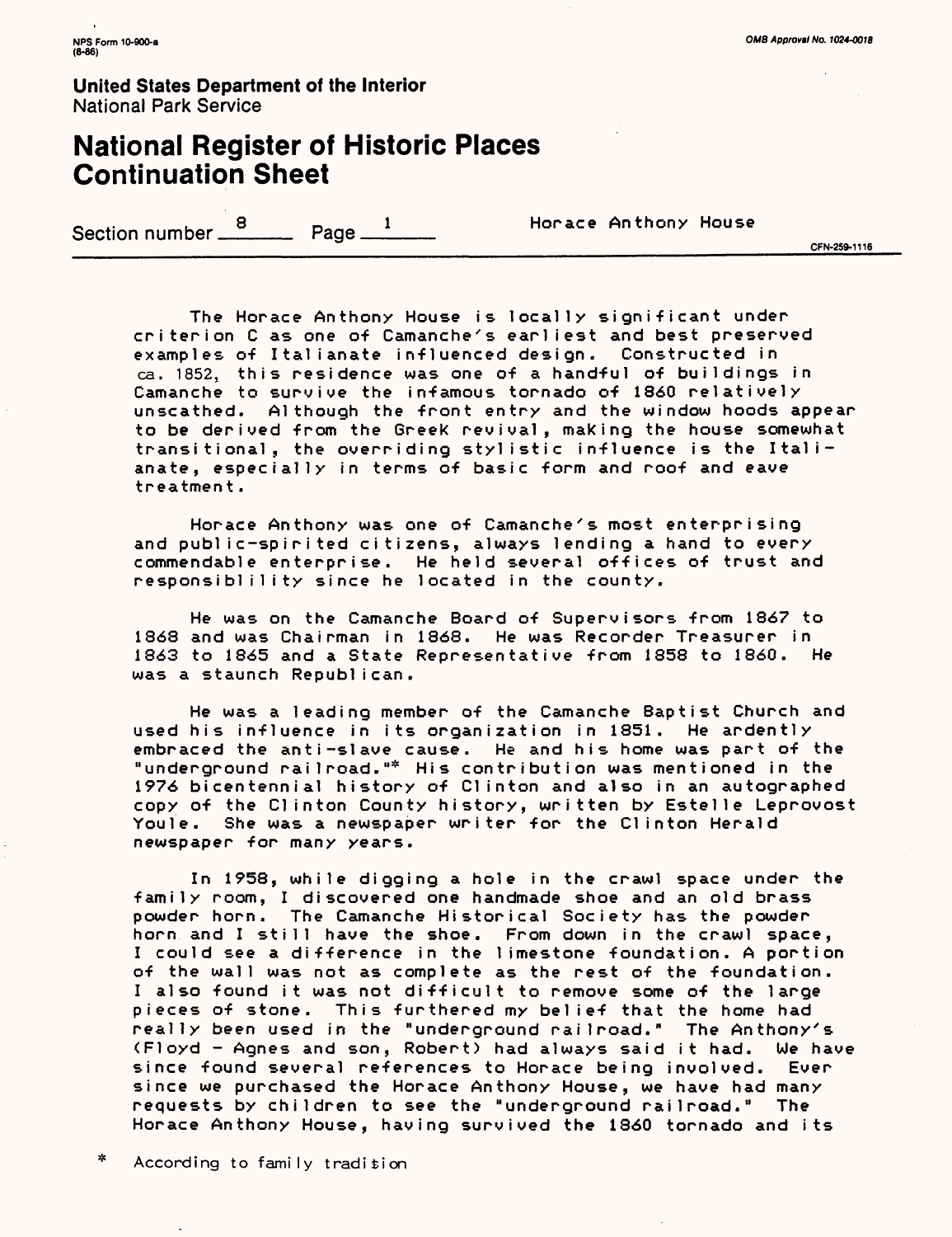### National Register of Historic Places Continuation Sheet

Section number  $\frac{8}{2}$  Page  $\frac{1}{2}$  Horace Anthony House  $\frac{8}{2}$  CFN-259-1116

The Horace Anthony House is locally significant under criterion C as one of Camanche's earliest and best preserved examples of Italianate Influenced design. Constructed in ca. 1852, this residence was one of a handful of buildings in Camanche to survive the infamous tornado of 1860 relatively unscathed. Although the front entry and the window hoods appear to be derived from the Greek revival, making the house somewhat transitional, the overriding stylistic influence is the Italianate, especially in terms of basic form and roof and eave treatment.

Horace Anthony was one of Camanche's most enterprising and public-spirited citizens, always lending a hand to every commendable enterprise. He held several offices of trust and responsibl i1 Ity since he located in the county.

He was on the Camanche Board of Supervisors from 1867 to 1863 and was Chairman in 1868. He was Recorder Treasurer in 1863 to 1865 and a State Representative from 1858 to 1860. He was a staunch Republican.

He was a leading member of the Camanche Baptist Church and used his influence in its organization in 1851. He ardently embraced the anti-slave cause. He and his home was part of the "underground railroad."\* His contribution was mentioned in the 1976 bicentennial history of Clinton and also in an autographed copy of the Clinton County history, written by Estelle Leprovost Youle. She was a newspaper writer for the Clinton Herald newspaper for many years.

In 1958, while digging a hole in the crawl space under the family room, I discovered one handmade shoe and an old brass powder horn. The Camanche Historical Society has the powder horn and I still have the shoe. From down in the crawl space, I could see a difference in the limestone foundation. A portion of the wall was not as complete as the rest of the foundation. I also found it was not difficult to remove some of the large pieces of stone. This furthered my belief that the home had really been used in the "underground railroad." The Anthony's (Floyd - Agnes and son, Robert) had always said it had. We have since found several references to Horace being involved. Ever since we purchased the Horace Anthony House, we have had many requests by children to see the "underground railroad." The Horace Anthony House, having survived the 1860 tornado and its

 $\approx$ According to family tradition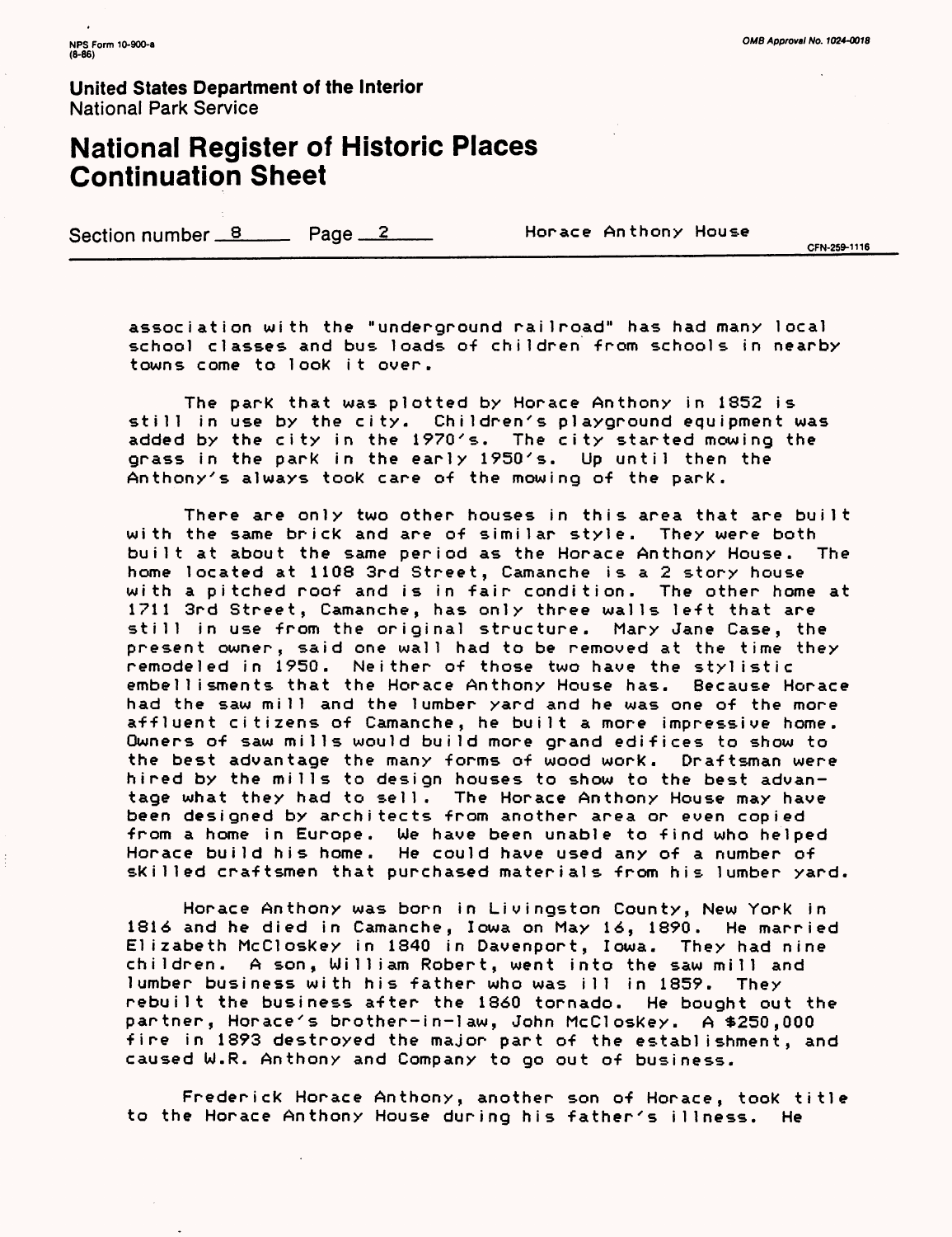### National Register of Historic Places Continuation Sheet

Section number 8 Page 2 Horace Anthony House

CFN-259-1116

association with the "underground railroad" has had many local school classes and bus loads of children from schools in nearby towns come to look It over.

The park that was plotted by Horace Anthony in 1852 is still in use by the city. Children's playground equipment was added by the city in the 1970's. The city started mowing the grass in the park in the early 1950's. Up until then the Anthony's always took care of the mowing of the park.

There are only two other houses in this area that are built with the same brick and are of similar style. They were both built at about the same period as the Horace Anthony House. The home located at 1108 3rd Street, Camanche is a 2 story house with a pitched roof and is in fair condition. The other home at 1711 3rd Street, Camanche, has only three walls left that are still in use from the original structure. Mary Jane Case, the present owner, said one wall had to be removed at the time they remodeled in 1950. Neither of those two have the stylistic embel1isments that the Horace Anthony House has. Because Horace had the saw mill and the lumber yard and he was one of the more affluent citizens of Camanche, he built a more impressive home. Owners of saw mills would build more grand edifices to show to the best advantage the many forms of wood work. Draftsman were hired by the mills to design houses to show to the best advantage what they had to sell. The Horace Anthony House may have been designed by architects from another area or even copied from a home in Europe. We have been unable to find who helped Horace build his home. He could have used any of a number of skilled craftsmen that purchased materials from his lumber yard.

Horace Anthony was born in Livingston County, New York in 1816 and he died in Camanche, Iowa on May 16, 1890. He married Elizabeth McCloskey in 1840 in Davenport, Iowa. They had nine children. A son, William Robert, went into the saw mill and lumber business with his father who was ill in 1859. They rebuilt the business after the 1860 tornado. He bought out the partner, Horace's brother-in-law, John McCloskey. A \$250,000 fire in 1893 destroyed the major part of the establishment, and caused W.R. Anthony and Company to go out of business.

Frederick Horace Anthony, another son of Horace, took title to the Horace Anthony House during his father's illness. He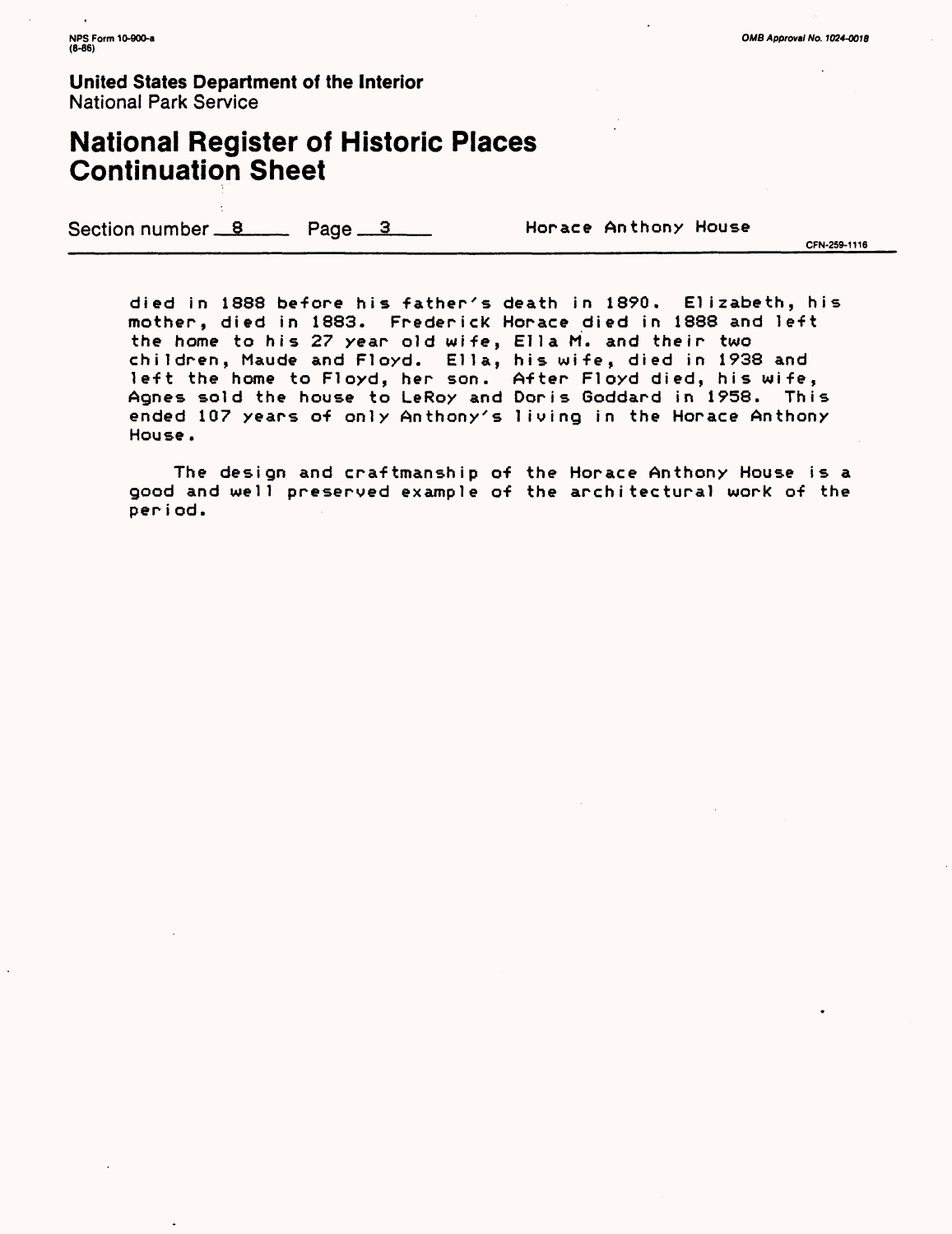### National Register of Historic Places Continuation Sheet

Section number 8 Page 3 Horace Anthony House

CFN-259-1116

died in 1888 before his father's death in 1890. Elizabeth, his mother, died in 1883. Frederick Horace died in 1888 and left the home to his 27 year old wife, Ella M. and their two children, Maude and Floyd. Ella, his wife, died in 1938 and ' left the home to Floyd, her son. After Floyd died, his wife, Agnes sold the house to LeRoy and Doris Goddard in 1958. This ended 107 years of only Anthony's living in the Horace Anthony House.

The design and craftmanship of the Horace Anthony House is a good and well preserved example of the architectural work of theperiod.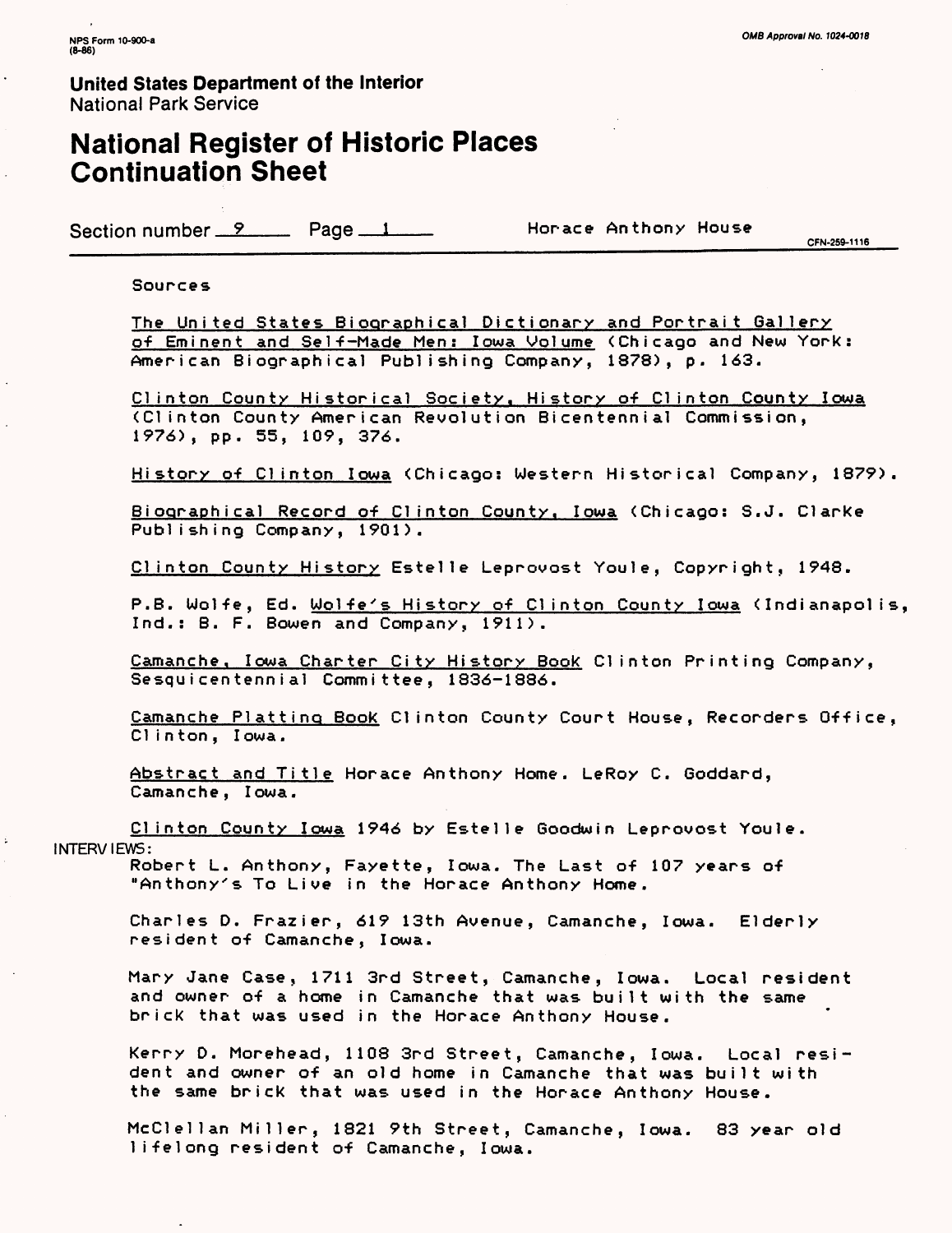### National Register of Historic Places Continuation Sheet

Section number 9 Page 1 Horace Anthony House

0 \_\_\_\_\_\_\_\_\_\_\_\_\_\_\_\_\_\_\_\_\_\_\_\_\_\_\_\_\_\_\_\_\_\_\_\_\_\_\_\_\_\_\_\_\_\_\_\_\_CFN-259-1116

#### Sources

The United States Biographical Dictionary and Portrait Gallery of Eminent and Self-Made Men: Iowa Volume <Chicago and New York: American Biographical Publishing Company, 1878), p. 163.

Clinton County Historical Society. History of Clinton County Iowa (Clinton County American Revolution Bicentennial Commission, 1976), pp. 55, 109, 376.

History of Clinton Iowa (Chicago: Western Historical Company, 1879).

Biographical Record of Clinton County. Iowa (Chicago: S.J. Clarke Publishing Company, 1901).

Clinton County History Estelle Leprovost Youle, Copyright, 1948.

P.B. Wolfe, Ed. <u>Wolfe's History of Clinton County Iowa</u> (Indianapolis, Ind.: B. F. Bowen and Company, 1911).

Camanche. Iowa Charter City History Book Clinton Printing Company, Sesquicentennial Committee, 1836-1886.

Camanche Platting Book Clinton County Court House, Recorders Office, Clinton, Iowa.

Abstract and Title Horace Anthony Home. LeRoy C. Goddard, Camanche, Iowa.

Clinton County Iowa 1946 by Estelle Goodwin Leprovost Youle.

INTERVIEWS:

Robert L. Anthony, Fayette, Iowa. The Last of 107 years of "Anthony's To Live in the Horace Anthony Home.

Charles D. Frazier, 619 13th Avenue, Camanche, Iowa. Elderly resident of Camanche, Iowa.

Mary Jane Case, 1711 3rd Street, Camanche, Iowa. Local resident and owner of a home in Camanche that was built with the same brick that was used in the Horace Anthony House.

Kerry D. Morehead, 1108 3rd Street, Camanche, Iowa. Local resident and owner of an old home in Camanche that was built with the same brick that was used in the Horace Anthony House.

McClellan Miller, 1821 9th Street, Camanche, Iowa. 83 year old lifelong resident of Camanche, Iowa.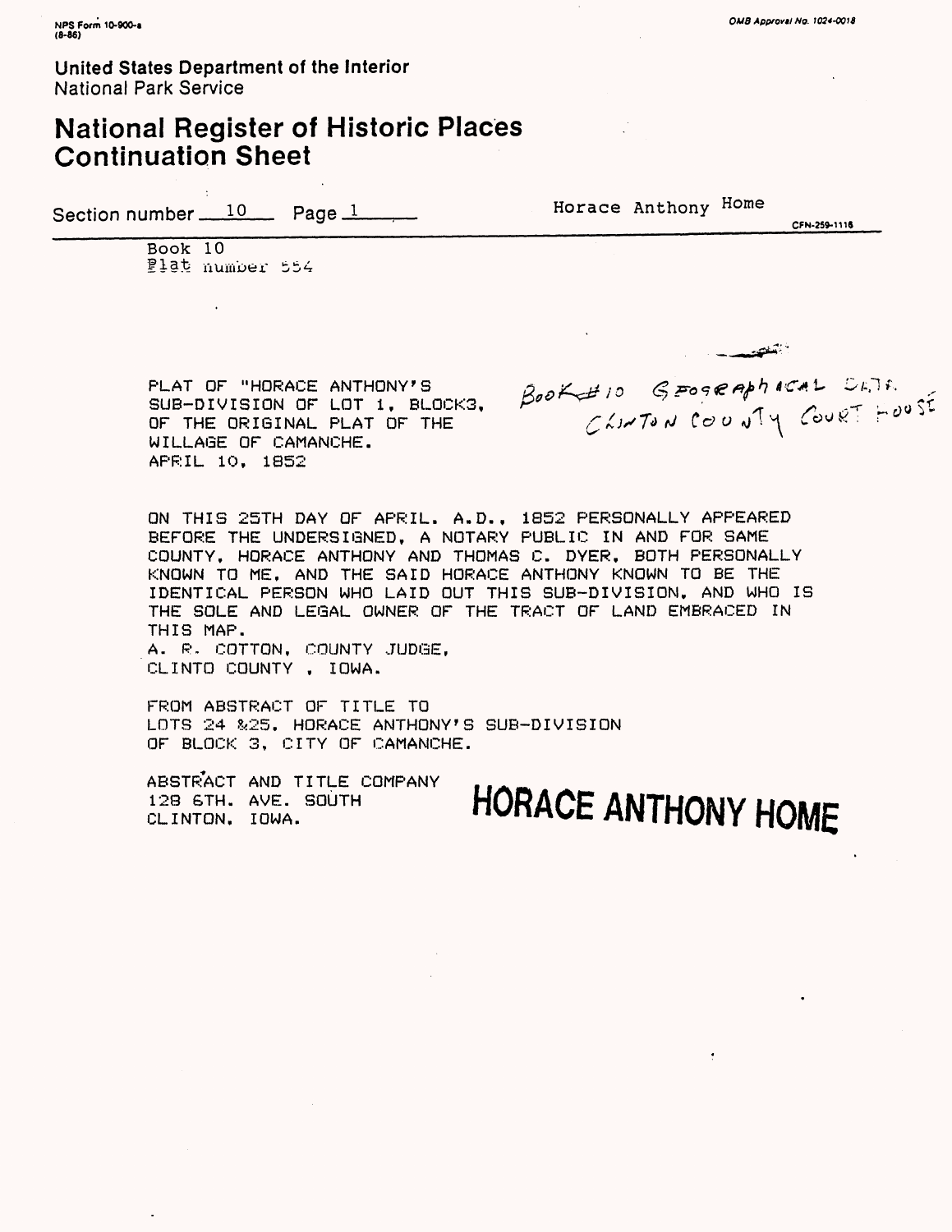### National Register of Historic Places Continuation Sheet

Section number  $10$  Page 1 Horace Anthony Home

CFN-259-1116

فكفتحص

Book 10 Plat number 554

PLAT OF "HORACE ANTHONY'S  $\beta_{ab} \mathcal{L}_{ab} \beta_{cd}$   $\beta_{P}$ <sub>209</sub>e  $\beta_{ab}$ h t $C_{ab}$ l  $D_{b}$ . SUB-DIVISION OF LOT 1, BLOCKS,  $\beta^{op}$   $\rightarrow$   $\beta^{op}$ ,  $\rightarrow$   $\beta^{op}$ ,  $\gamma$ ,  $\gamma$ ,  $\gamma$ ,  $\gamma$ ,  $\gamma$ ,  $\gamma$ ,  $\gamma$ SUB-DIVISION OF LOT 1, BLOCK3,<br>OF THE ORIGINAL PLAT OF THE WILLAGE OF CAMANCHE. APRIL 10, 1852

ON THIS 25TH DAY OF APRIL. A.D., 1852 PERSONALLY APPEARED BEFORE THE UNDERSIGNED, A NOTARY PUBLIC IN AND FOR SAME COUNTY, HORACE ANTHONY AND THOMAS C. DYER, BOTH PERSONALLY KNOWN TO ME, AND THE SAID HORACE ANTHONY KNOWN TO BE THE IDENTICAL PERSON WHO LAID OUT THIS SUB-DIVISION, AND WHO IS THE SOLE AND LEGAL OWNER OF THE TRACT OF LAND EMBRACED IN THIS MAP. A. R. COTTON, COUNTY JUDGE,

CLINTO COUNTY , IOWA.

FROM ABSTRACT OF TITLE TO LOTS 24 &25. HORACE ANTHONY'S SUB-DIVISION OF BLOCK 3, CITY OF CAMANCHE.

ABSTRACT AND TITLE COMPANY 128 6TH. AVE. SOUTH<br>CLINTON. IOWA.

HORACE ANTHONY HOME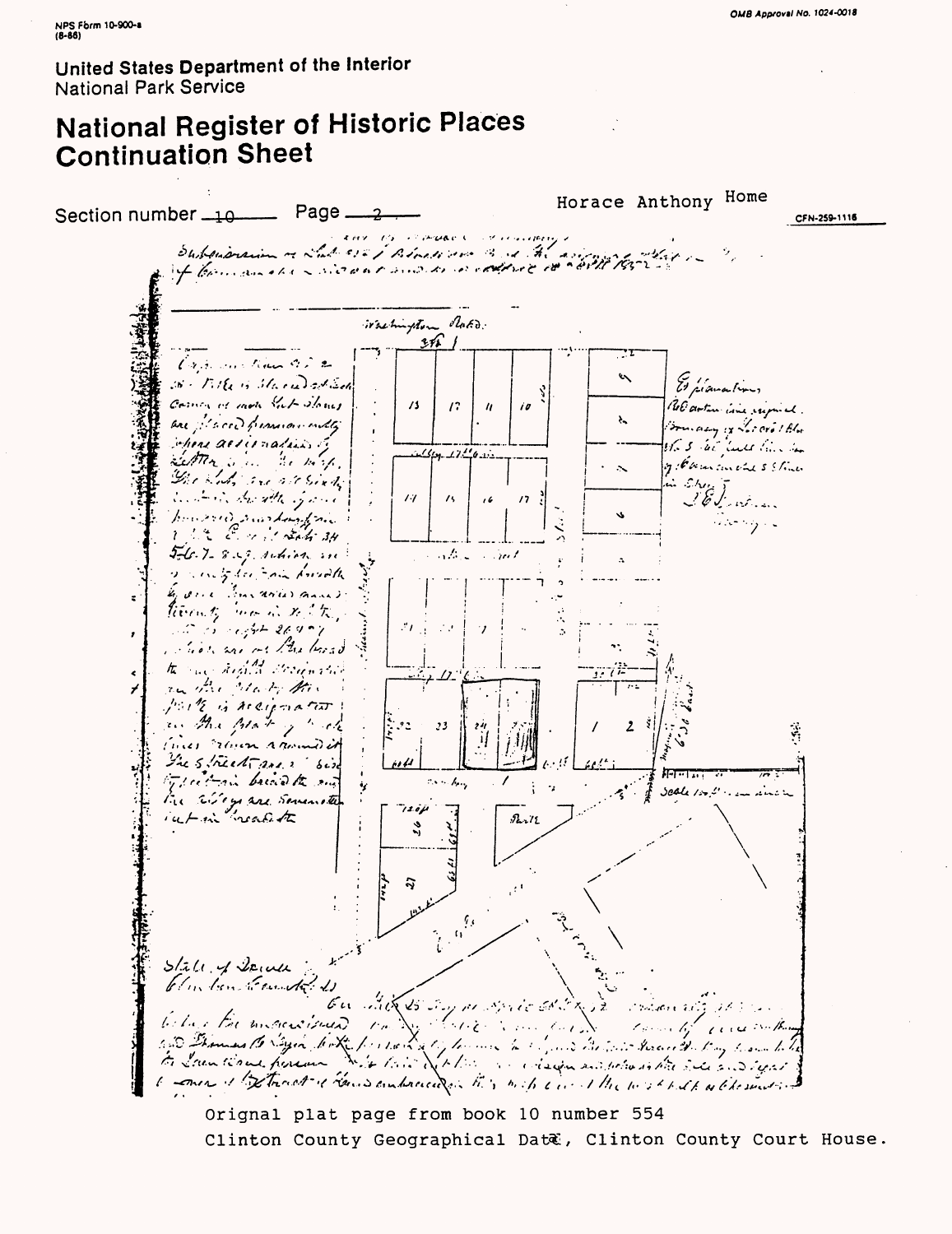# **National Register of Historic Places Continuation Sheet**

Horace Anthony Home  $Page$ <sub>--</sub> ے Section number  $-10$  — CFN-259-1116 Subsideration of Lab 322 / Block and Bud the assign With adhach c  $\partial_{\theta}$ irashington  $311$ Can constituto a 2  $\epsilon$ 36 - Mile in Stare Dat Sel Comeans of mote Sub Stones  $\sqrt{3}$  $\sqrt{2}$  $\theta$  $\boldsymbol{h}$ are placed promion only azy iz Locard I Blue chers alternation. 163 We leave him has  $12.44$ Settlem Shire Me Hold. of Hammerle 5 Stone  $\sim$ The Sich are att Sixty in Ehm J. William dents durable of  $\overline{14}$  $\overline{16}$  $\overline{1}$ married markedy free ille og i k 5-6.7-8.9 religion  $\mathcal{L}(\mathcal{L})$ S. Gul inty her comment Gene Travaries and Recently more in the City Salt in a light 26,900  $\mathcal{F}$ intrior and on the bread the and highly declined  $\hat{\textbf{C}}$ an the clock the ⊀ parte is recondent an the plate of track  $22$  $, 3$  $\mathbf{2}$ fines rain rammed it The Street are 2 bir i i 11 Type to an bridge to my  $k_{\rm e}$  $\mathbf{v}$ **Scale 1:02'** المؤاملة والمساواة the alleys are Sevenated  $720\mu$  $92.72$ یم  $\ddot{v}$  $\alpha^{\frac{d}{2}i}$  $S/2U \sim$  Denver blus ben to under  $\mathscr{E}$  as  $\mathscr{E}$ 25 Say 11 Marco 68 C Post Revolution below the mousines an Carlotte -bel barg -bat -ben trock issues --ben and --ben --ben --ben --ben --ben --ben translated barg -ben --ben<br>ben Islam til ande -bendem ---ben --ben --ben --ben --ben --bendem and police in blite -bendem --ben --bendem<br>ben Is  $\mathcal{L}^{\mathcal{L}}$  and  $\epsilon$  and  $\ldots$  /k. a come of the track of hours embraced in this with a could the west both a ble sunt in

Orignal plat page from book 10 number 554 Clinton County Geographical Dat&, Clinton County Court House.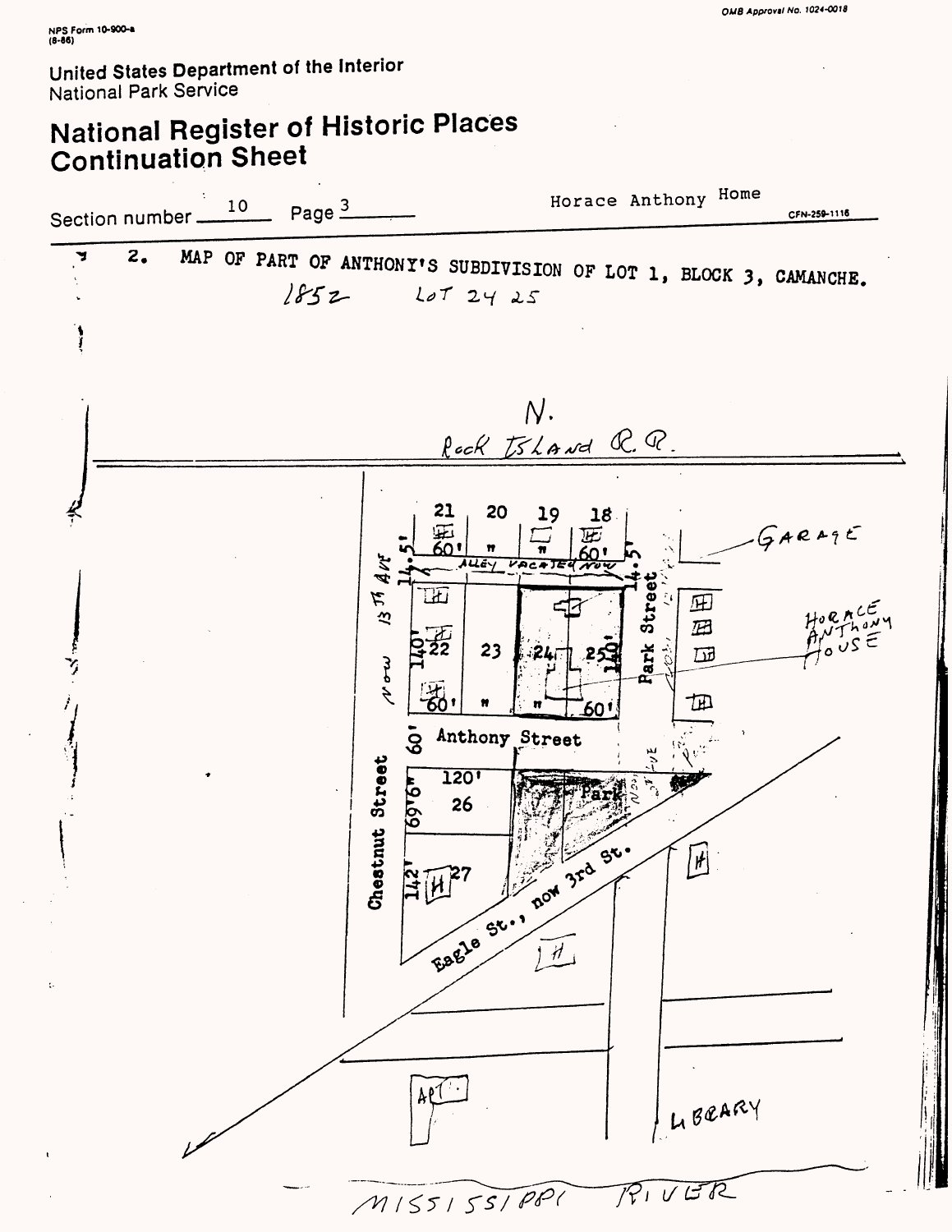# **National Register of Historic Places Continuation Sheet**